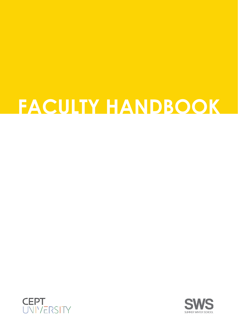# **FACULTY HANDBOOK**



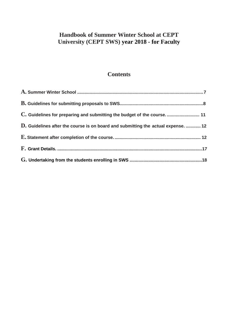## **Handbook of Summer Winter School at CEPT University (CEPT SWS) year 2018 - for Faculty**

## **Contents**

| C. Guidelines for preparing and submitting the budget of the course.  11          |  |
|-----------------------------------------------------------------------------------|--|
| D. Guidelines after the course is on board and submitting the actual expense.  12 |  |
|                                                                                   |  |
|                                                                                   |  |
|                                                                                   |  |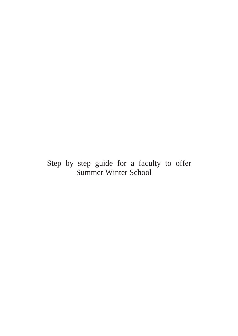# Step by step guide for a faculty to offer Summer Winter School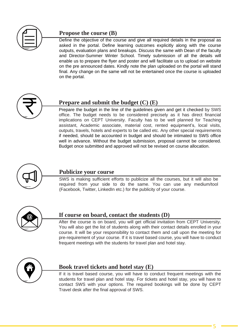

## **Propose the course (B)**

Define the objective of the course and give all required details in the proposal as asked in the portal. Define learning outcomes explicitly along with the course outputs, evaluation plans and breakups. Discuss the same with Dean of the faculty and Director-Summer Winter School. Timely submission of all the details will enable us to prepare the flyer and poster and will facilitate us to upload on website on the pre announced dates. Kindly note the plan uploaded on the portal will stand final. Any change on the same will not be entertained once the course is uploaded on the portal.



## **Prepare and submit the budget (C) (E)**

Prepare the budget in the line of the guidelines given and get it checked by SWS office. The budget needs to be considered precisely as it has direct financial implications on CEPT University. Faculty has to be well planned for Teaching assistant, Academic associate, material cost, rented equipment's, local visits, outputs, travels, hotels and experts to be called etc. Any other special requirements if needed, should be accounted in budget and should be intimated to SWS office well in advance. Without the budget submission, proposal cannot be considered. Budget once submitted and approved will not be revised on course allocation.



#### **Publicize your course**

SWS is making sufficient efforts to publicize all the courses, but it will also be required from your side to do the same. You can use any medium/tool (Facebook, Twitter, LinkedIn etc.) for the publicity of your course.



### **If course on board, contact the students (D)**

After the course is on board, you will get official invitation from CEPT University. You will also get the list of students along with their contact details enrolled in your course. It will be your responsibility to contact them and call upon the meeting for pre-requirement of your course. If it is travel based course, you will have to conduct frequent meetings with the students for travel plan and hotel stay.



#### **Book travel tickets and hotel stay (E)**

If it is travel based course, you will have to conduct frequent meetings with the students for travel plan and hotel stay. For tickets and hotel stay, you will have to contact SWS with your options. The required bookings will be done by CEPT Travel desk after the final approval of SWS.

5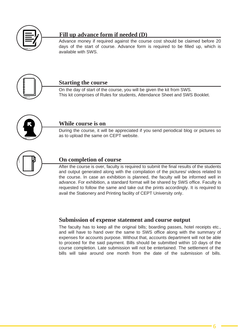

## **Fill up advance form if needed (D)**

Advance money if required against the course cost should be claimed before 20 days of the start of course. Advance form is required to be filled up, which is available with SWS.



#### **Starting the course**

On the day of start of the course, you will be given the kit from SWS. This kit comprises of Rules for students, Attendance Sheet and SWS Booklet.



#### **While course is on**

During the course, it will be appreciated if you send periodical blog or pictures so as to upload the same on CEPT website.



#### **On completion of course**

After the course is over, faculty is required to submit the final results of the students and output generated along with the compilation of the pictures/ videos related to the course. In case an exhibition is planned, the faculty will be informed well in advance. For exhibition, a standard format will be shared by SWS office. Faculty is requested to follow the same and take out the prints accordingly. It is required to avail the Stationery and Printing facility of CEPT University only.

#### **Submission of expense statement and course output**

The faculty has to keep all the original bills; boarding passes, hotel receipts etc., and will have to hand over the same to SWS office along with the summary of expenses for accounts purpose. Without that, accounts department will not be able to proceed for the said payment. Bills should be submitted within 10 days of the course completion. Late submission will not be entertained. The settlement of the bills will take around one month from the date of the submission of bills.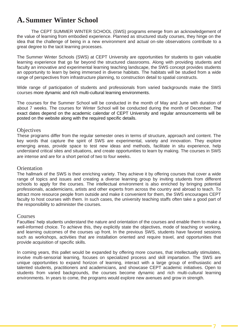# <span id="page-6-0"></span>**A.Summer Winter School**

The CEPT SUMMER WINTER SCHOOL (SWS) programs emerge from an acknowledgement of the value of learning from embodied experience. Planned as structured study courses, they hinge on the idea that the challenge of being in a new environment and actual on-site observations contribute to a great degree to the tacit learning processes.

The Summer Winter Schools (SWS) at CEPT University are opportunities for students to gain valuable learning experience that go far beyond the structured classrooms. Along with providing students and faculty an innovative and experimental learning teaching landscape, the SWS concept provides students an opportunity to learn by being immersed in diverse habitats. The habitats will be studied from a wide range of perspectives from infrastructure planning, to construction detail to spatial constructs.

Wide range of participation of students and professionals from varied backgrounds make the SWS courses more dynamic and rich multi-cultural learning environments.

The courses for the Summer School will be conducted in the month of May and June with duration of about 7 weeks. The courses for Winter School will be conducted during the month of December. The exact dates depend on the academic calendar of CEPT University and regular announcements will be posted on the website along with the required specific details.

#### **Objectives**

These programs differ from the regular semester ones in terms of structure, approach and content. The key words that capture the spirit of SWS are experimental, variety and innovation. They explore emerging areas, provide space to test new ideas and methods, facilitate in situ experience, help understand critical sites and situations, and create opportunities to learn by making. The courses in SWS are intense and are for a short period of two to four weeks.

#### **Orientation**

The hallmark of the SWS is their enriching variety. They achieve it by offering courses that cover a wide range of topics and issues and creating a diverse learning group by inviting students from different schools to apply for the courses. The intellectual environment is also enriched by bringing potential professionals, academicians, artists and other experts from across the country and abroad to teach. To attract more resource people from outside and make it convenient for them, the SWS encourages CEPT faculty to host courses with them. In such cases, the university teaching staffs often take a good part of the responsibility to administer the courses.

#### Courses

Faculties' help students understand the nature and orientation of the courses and enable them to make a well-informed choice. To achieve this, they explicitly state the objectives, mode of teaching or working, and learning outcomes of the courses up front. In the previous SWS, students have favored sessions such as workshops, activities that are installation oriented and require travel, and opportunities that provide acquisition of specific skills.

In coming years, this pallet would be expanded by offering more courses, that intellectually stimulates, involve multi-sensorial learning, focuses on specialized process and skill impartation. The SWS are unique opportunities to expand horizon of learning, interact with a large group of enthusiastic and talented students, practitioners and academicians, and showcase CEPT academic initiatives. Open to students from varied backgrounds, the courses become dynamic and rich multi-cultural learning environments. In years to come, the programs would explore new avenues and grow in strength.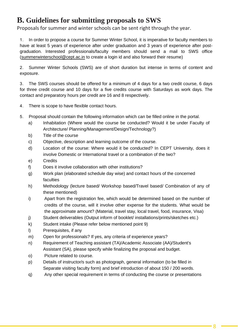## <span id="page-7-0"></span>**B. Guidelines for submitting proposals to SWS**

Proposals for summer and winter schools can be sent right through the year.

**1.** In order to propose a course for Summer Winter School, it is imperative for faculty members to have at least 5 years of experience after under graduation and 3 years of experience after postgraduation. Interested professionals/faculty members should send a mail to SWS office [\(summerwinterschool@cept.ac.in](mailto:summerwinterschool@cept.ac.in) to create a login id and also forward their resume)

**2.** Summer Winter Schools (SWS) are of short duration but intense in terms of content and exposure.

**3.** The SWS courses should be offered for a minimum of 4 days for a two credit course, 6 days for three credit course and 10 days for a five credits course with Saturdays as work days. The contact and preparatory hours per credit are 16 and 8 respectively.

- **4.** There is scope to have flexible contact hours.
- **5.** Proposal should contain the following information which can be filled online in the portal.
	- a) Inhabitation (Where would the course be conducted? Would it be under Faculty of Architecture/ Planning/Management/Design/Technology?)
	- b) Title of the course
	- c) Objective, description and learning outcome of the course.
	- d) Location of the course: Where would it be conducted? In CEPT University, does it involve Domestic or International travel or a combination of the two?
	- e) Credits
	- f) Does it involve collaboration with other institutions?
	- g) Work plan (elaborated schedule day wise) and contact hours of the concerned faculties
	- h) Methodology (lecture based/ Workshop based/Travel based/ Combination of any of these mentioned)
	- i) Apart from the registration fee, which would be determined based on the number of credits of the course, will it involve other expense for the students. What would be the approximate amount? (Material, travel stay, local travel, food, insurance, Visa)
	- j) Student deliverables (Output inform of booklet/ installations/prints/sketches etc.)
	- k) Student intake (Please refer below mentioned point 9)
	- l) Prerequisites, if any
	- m) Open for professionals? If yes, any criteria of experience years?
	- n) Requirement of Teaching assistant (TA)/Academic Associate (AA)/Student's Assistant (SA), please specify while finalizing the proposal and budget.
	- o) Picture related to course.
	- p) Details of instructor/s such as photograph, general information (to be filled in Separate visiting faculty form) and brief introduction of about 150 / 200 words.
	- q) Any other special requirement in terms of conducting the course or presentations

8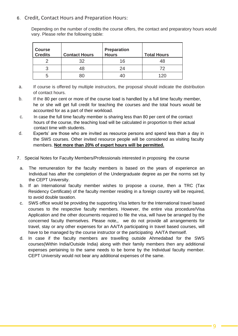#### **6.** Credit, Contact Hours and Preparation Hours:

Depending on the number of credits the course offers, the contact and preparatory hours would vary. Please refer the following table:

| <b>Course</b><br><b>Credits</b> | <b>Contact Hours</b> | <b>Preparation</b><br><b>Hours</b> | <b>Total Hours</b> |
|---------------------------------|----------------------|------------------------------------|--------------------|
|                                 | 32                   | 16                                 | 48                 |
|                                 | 48                   | 24                                 | 72                 |
|                                 | RC                   |                                    |                    |

- a. If course is offered by multiple instructors, the proposal should indicate the distribution of contact hours.
- b. If the 80 per cent or more of the course load is handled by a full time faculty member, he or she will get full credit for teaching the courses and the total hours would be accounted for as a part of their workload.
- c. In case the full time faculty member is sharing less than 80 per cent of the contact hours of the course, the teaching load will be calculated in proportion to their actual contact time with students.
- d. Experts' are those who are invited as resource persons and spend less than a day in the SWS courses. Other invited resource people will be considered as visiting faculty members. **Not more than 20% of expert hours will be permitted.**
- **7.** Special Notes for Faculty Members/Professionals interested in proposing the course
	- a. The remuneration for the faculty members is based on the years of experience an Individual has after the completion of the Undergraduate degree as per the norms set by the CEPT University.
	- b. If an International faculty member wishes to propose a course, then a TRC (Tax Residency Certificate) of the faculty member residing in a foreign country will be required, to avoid double taxation.
	- c. SWS office would be providing the supporting Visa letters for the International travel based courses to the respective faculty members. However, the entire visa procedure/Visa Application and the other documents required to file the visa, will have be arranged by the concerned faculty themselves. Please note,, we do not provide all arrangements for travel, stay or any other expenses for an AA/TA participating in travel based courses, will have to be managed by the course instructor or the participating AA/TA themself.
	- d. In case if the faculty members are travelling outside Ahmedabad for the SWS courses(Within India/Outside India) along with their family members then any additional expenses pertaining to the same needs to be borne by the Individual faculty member. CEPT University would not bear any additional expenses of the same.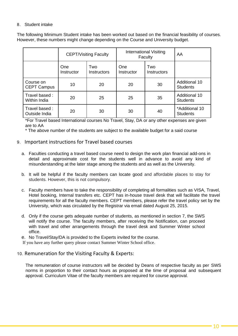#### **8.** Student intake

The following Minimum Student intake has been worked out based on the financial feasibility of courses. However, these numbers might change depending on the Course and University budget.

|                                 | <b>CEPT/Visiting Faculty</b> |                           | International Visiting<br>Faculty |                           | AA                                      |
|---------------------------------|------------------------------|---------------------------|-----------------------------------|---------------------------|-----------------------------------------|
|                                 | <b>One</b><br>Instructor     | Two<br><b>Instructors</b> | One<br>Instructor                 | Two<br><b>Instructors</b> |                                         |
| Course on<br><b>CEPT Campus</b> | 10                           | 20                        | 20                                | 30                        | <b>Additional 10</b><br><b>Students</b> |
| Travel based:<br>Within India   | 20                           | 25                        | 25                                | 35                        | <b>Additional 10</b><br><b>Students</b> |
| Travel based:<br>Outside India  | 20                           | 30                        | 30                                | 40                        | *Additional 10<br><b>Students</b>       |

\*For Travel based International courses No Travel, Stay, DA or any other expenses are given are to AA

\* The above number of the students are subject to the available budget for a said course

#### **9.** Important instructions for Travel based courses

- a. Faculties conducting a travel based course need to design the work plan financial add-ons in detail and approximate cost for the students well in advance to avoid any kind of misunderstanding at the later stage among the students and as well as the University.
- b. It will be helpful if the faculty members can locate good and affordable places to stay for students. However, this is not compulsory.
- c. Faculty members have to take the responsibility of completing all formalities such as VISA, Travel, Hotel booking, Internal transfers etc. CEPT has in-house travel desk that will facilitate the travel requirements for all the faculty members. CEPT members, please refer the travel policy set by the University, which was circulated by the Registrar via email dated August 25, 2015.
- d. Only if the course gets adequate number of students, as mentioned in section 7, the SWS will notify the course. The faculty members, after receiving the Notification, can proceed with travel and other arrangements through the travel desk and Summer Winter school office.

e. No Travel/Stay/DA is provided to the Experts invited for the course.

If you have any further query please contact Summer Winter School office.

#### **10.** Remuneration for the Visiting Faculty & Experts:

The remuneration of course instructors will be decided by Deans of respective faculty as per SWS norms in proportion to their contact hours as proposed at the time of proposal and subsequent approval. Curriculum Vitae of the faculty members are required for course approval.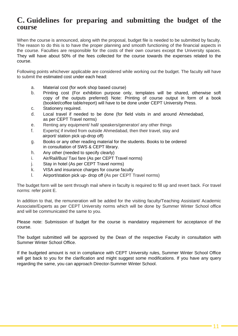## <span id="page-10-0"></span>**C. Guidelines for preparing and submitting the budget of the course**

When the course is announced, along with the proposal, budget file is needed to be submitted by faculty. The reason to do this is to have the proper planning and smooth functioning of the financial aspects in the course. Faculties are responsible for the costs of their own courses except the University spaces. They will have about 50% of the fees collected for the course towards the expenses related to the course.

Following points whichever applicable are considered while working out the budget. The faculty will have to submit the estimated cost under each head:

- a. Material cost (for work shop based course)
- b. Printing cost (For exhibition purpose only, templates will be shared, otherwise soft copy of the outputs preferred) Note: Printing of course output in form of a book (booklet/coffee table/report) will have to be done under CEPT University Press.
- c. Stationery required.
- d. Local travel if needed to be done (for field visits in and around Ahmedabad, as per CEPT Travel norms)
- e. Renting any equipment/ hall/ speakers/generator/ any other things
- f. Experts( if invited from outside Ahmedabad, then their travel, stay and airport/ station pick up-drop off)
- g. Books or any other reading material for the students. Books to be ordered in consultation of SWS & CEPT library.
- h. Any other (needed to specify clearly)
- i. Air/Rail/Bus/ Taxi fare (As per CEPT Travel norms)
- j. Stay in hotel (As per CEPT Travel norms)
- k. VISA and insurance charges for course faculty
- l. Airport/station pick up- drop off (As per CEPT Travel norms)

The budget form will be sent through mail where in faculty is required to fill up and revert back. For travel norms: refer point E.

In addition to that, the remuneration will be added for the visiting faculty/Teaching Assistant/ Academic Associate/Experts as per CEPT University norms which will be done by Summer Winter School office and will be communicated the same to you.

Please note: Submission of budget for the course is mandatory requirement for acceptance of the course.

The budget submitted will be approved by the Dean of the respective Faculty in consultation with Summer Winter School Office.

If the budgeted amount is not in compliance with CEPT University rules, Summer Winter School Office will get back to you for the clarification and might suggest some modifications. If you have any query regarding the same, you can approach Director-Summer Winter School.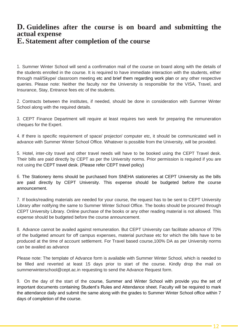## <span id="page-11-1"></span><span id="page-11-0"></span>**D. Guidelines after the course is on board and submitting the actual expense E. Statement after completion of the course**

1. Summer Winter School will send a confirmation mail of the course on board along with the details of the students enrolled in the course. It is required to have immediate interaction with the students, either through mail/Skype/ classroom meeting etc and brief them regarding work plan or any other respective queries. Please note: Neither the faculty nor the University is responsible for the VISA, Travel, and Insurance, Stay, Entrance fees etc of the students.

2. Contracts between the institutes, if needed, should be done in consideration with Summer Winter School along with the required details.

3. CEPT Finance Department will require at least requires two week for preparing the remuneration cheques for the Expert.

4. If there is specific requirement of space/ projector/ computer etc, it should be communicated well in advance with Summer Winter School Office. Whatever is possible from the University, will be provided.

5. Hotel, inter-city travel and other travel needs will have to be booked using the CEPT Travel desk. Their bills are paid directly by CEPT as per the University norms. Prior permission is required if you are not using the CEPT travel desk. (Please refer CEPT travel policy)

6. The Stationery items should be purchased from SNEHA stationeries at CEPT University as the bills are paid directly by CEPT University. This expense should be budgeted before the course announcement.

7. If books/reading materials are needed for your course, the request has to be sent to CEPT University Library after notifying the same to Summer Winter School Office. The books should be procured through CEPT University Library. Online purchase of the books or any other reading material is not allowed. This expense should be budgeted before the course announcement.

8. Advance cannot be availed against remuneration. But CEPT University can facilitate advance of 70% of the budgeted amount for off campus expenses, material purchase etc for which the bills have to be produced at the time of account settlement. For Travel based course,100% DA as per University norms can be availed as advance

Please note: The template of Advance form is available with Summer Winter School, which is needed to be filled and reverted at least 15 days prior to start of the course. Kindly drop the mail on [summerwinterschool@cept.ac.in r](mailto:summerwinterschool@cept.ac.in)equesting to send the Advance Request form.

9. On the day of the start of the course, Summer and Winter School with provide you the set of important documents containing Student's Rules and Attendance sheet. Faculty will be required to mark the attendance daily and submit the same along with the grades to Summer Winter School office within 7 days of completion of the course.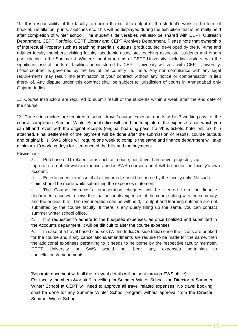10. It is responsibility of the faculty to decide the suitable output of the student's work in the form of booklet, installation, prints, sketches etc. This will be displayed during the exhibition that is normally held after completion of winter school. The student's deliverables will also be shared with CEPT Outreach Department, CEPT Portfolio, CEPT Library and CEPT Archives Department. Please note that ownership of Intellectual Property such as teaching materials, outputs, products, etc. developed by the full-time and adjunct faculty members, visiting faculty, academic associate, teaching associate, students and others participating in the Summer & Winter school programs of CEPT University, including visitors, with the significant use of funds or facilities administered by CEPT University will vest with CEPT University. (Your contract is governed by the law of the country i.e. India. Any non-compliance with any legal requirements may result into termination of your contract without any notice or compensation in lieu there- of. Any dispute under this contract shall be subject to jurisdiction of courts in Ahmedabad only Gujarat, India).

11. Course instructors are required to submit result of the students within a week after the end date of the course.

12. Course instructors are required to submit travel/ course expense reports within 7 working days of the course completion. Summer Winter School office will send the template of the expense report which you can fill and revert with the original receipts (original boarding pass, train/bus tickets, hotel bill, taxi bill) attached. Final settlement of the payment will be done after the submission of results, course outputs and original bills. SWS office will require one week to compile the same and finance department will take minimum 10 working days for clearance of the bills and the payments.

Please note:

a. Purchase of IT related items such as mouse, pen drive, hard drive, projector, lap

top etc. are not allowable expenses under SWS courses and it will be under the faculty's own account.

b. Entertainment expense, if at all incurred, should be borne by the faculty only. No such claim should be made while submitting the expenses statement.

c. The Course instructor's remuneration cheques will be cleared from the finance department once we receive the final accounts/expenses of the course along with the summary and the original bills. The remuneration can be withheld, if output and learning outcome are not submitted by the course faculty. If there is any query filling up the same, you can contact summer winter school office.

d. It is requested to adhere to the budgeted expenses, as once finalized and submitted in the Accounts department, it will be difficult to alter the course expenses

e. In case of a travel based courses (Within India/Outside India) once the tickets are booked for the course and if any cancellations/amendments are require to be made for the same, then the additional expenses pertaining to it needs to be borne by the respective faculty member. CEPT University or SWS would not bear any expenses pertaining to cancellations/amendments.

(Separate document with all the relevant details will be sent through SWS office)

For faculty members &/or staff travelling for Summer Winter School, the Director of Summer Winter School at CEPT will need to approve all travel related expenses. No travel booking shall be done for any Summer Winter School program without approval from the Director Summer Winter School.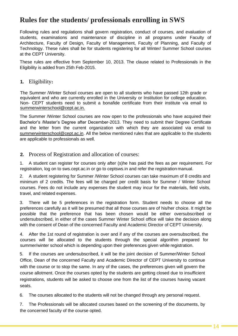## **Rules for the students/ professionals enrolling in SWS**

Following rules and regulations shall govern registration, conduct of courses, and evaluation of students, examinations and maintenance of discipline in all programs under Faculty of Architecture, Faculty of Design, Faculty of Management, Faculty of Planning, and Faculty of Technology. These rules shall be for students registering for all Winter/ Summer School courses at the CEPT University.

These rules are effective from September 10, 2013. The clause related to Professionals in the Eligibility is added from 25th Feb-2015.

#### **1.** Eligibility**:**

The Summer /Winter School courses are open to all students who have passed 12th grade or equivalent and who are currently enrolled in the University or Institution for college education. Non- CEPT students need to submit a bonafide certificate from their institute via email to [summerwinterschool@cept.ac.in.](mailto:summerwinterschool@cept.ac.in)

 The Summer /Winter School courses are now open to the professionals who have acquired their Bachelor's /Master's Degree after December-2013. They need to submit their Degree Certificate and the letter from the current organization with which they are associated via email to [summerwinterschool@cept.ac.in. A](mailto:summerwinterschool@cept.ac.in)ll the below mentioned rules that are applicable to the students are applicable to professionals as well.

#### **2.** Process of Registration and allocation of courses:

1. A student can register for courses only after (s)he has paid the fees as per requirement. For registration, log on to sws.cept.ac.in or go to ceptsws.in and refer the registration manual.

2. A student registering for Summer /Winter School courses can take maximum of 8 credits and minimum of 2 credits. The fees will be charged per credit basis for Summer / Winter School courses. Fees do not include any expenses the student may incur for the materials, field visits, travel, and related expenses.

3. There will be 5 preferences in the registration form. Student needs to choose all the preferences carefully as it will be presumed that all those courses are of his/her choice. It might be possible that the preference that has been chosen would be either oversubscribed or undersubscribed, in either of the cases Summer Winter School office will take the decision along with the consent of Dean of the concerned Faculty and Academic Director of CEPT University.

4. After the 1st round of registration is over and if any of the courses are oversubscribed, the courses will be allocated to the students through the special algorithm prepared for summer/winter school which is depending upon their preferences given while registration.

5. If the courses are undersubscribed, it will be the joint decision of Summer/Winter School Office, Dean of the concerned Faculty and Academic Director of CEPT University to continue with the course or to stop the same. In any of the cases, the preferences given will govern the course allotment. Once the courses opted by the students are getting closed due to insufficient registrations, students will be asked to choose one from the list of the courses having vacant seats.

6. The courses allocated to the students will not be changed through any personal request.

7. The Professionals will be allocated courses based on the screening of the documents, by the concerned faculty of the course opted.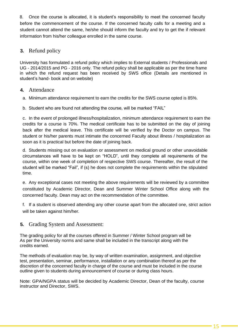8. Once the course is allocated, it is student's responsibility to meet the concerned faculty before the commencement of the course. If the concerned faculty calls for a meeting and a student cannot attend the same, he/she should inform the faculty and try to get the if relevant information from his/her colleague enrolled in the same course.

#### **3.** Refund policy

University has formulated a refund policy which implies to External students / Professionals and UG - 2014/2015 and PG - 2016 only. The refund policy shall be applicable as per the time frame in which the refund request has been received by SWS office (Details are mentioned in student's hand- book and on website)

#### **4.** Attendance

- a. Minimum attendance requirement to earn the credits for the SWS course opted is 85%.
- b. Student who are found not attending the course, will be marked "FAIL"

c. In the event of prolonged illness/hospitalization, minimum attendance requirement to earn the credits for a course is 70%. The medical certificate has to be submitted on the day of joining back after the medical leave. This certificate will be verified by the Doctor on campus. The student or his/her parents must intimate the concerned Faculty about illness / hospitalization as soon as it is practical but before the date of joining back.

d. Students missing out on evaluation or assessment on medical ground or other unavoidable circumstances will have to be kept on "HOLD", until they complete all requirements of the course, within one week of completion of respective SWS course. Thereafter, the result of the student will be marked "Fail", if (s) he does not complete the requirements within the stipulated time.

e. Any exceptional cases not meeting the above requirements will be reviewed by a committee constituted by Academic Director, Dean and Summer Winter School Office along with the concerned faculty. Dean may act on the recommendation of the committee.

f. If a student is observed attending any other course apart from the allocated one, strict action will be taken against him/her.

**5.** Grading System and Assessment:

The grading policy for all the courses offered in Summer / Winter School program will be As per the University norms and same shall be included in the transcript along with the credits earned.

The methods of evaluation may be, by way of written examination, assignment, and objective test, presentation, seminar, performance, installation or any combination thereof as per the discretion of the concerned faculty in charge of the course and must be included in the course outline given to students during announcement of course or during class hours.

Note: GPA/NGPA status will be decided by Academic Director, Dean of the faculty, course instructor and Director, SWS.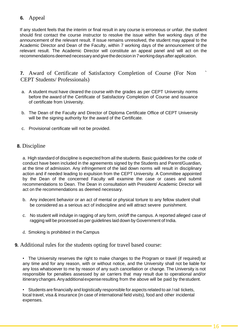#### **6.** Appeal

If any student feels that the interim or final result in any course is erroneous or unfair, the student should first contact the course instructor to resolve the issue within five working days of the announcement of the relevant result. If issue remains unresolved, the student may appeal to the Academic Director and Dean of the Faculty, within 7 working days of the announcement of the relevant result. The Academic Director will constitute an appeal panel and will act on the recommendations deemed necessaryandgivethedecisionin 7workingdaysafterapplication.

#### **7.** Award of Certificate of Satisfactory Completion of Course (For Non ` CEPT Students/ Professionals)

- a. A student must have cleared the course with the grades as per CEPT University norms before the award of the Certificate of Satisfactory Completion of Course and issuance of certificate from University.
- b. The Dean of the Faculty and Director of Diploma Certificate Office of CEPT University will be the signing authority for the award of the Certificate.
- c. Provisional certificate will not be provided.

#### **8.** Discipline

a. High standard of discipline is expected from all the students. Basic guidelines for the code of conduct have been included in the agreements signed by the Students and Parent/Guardian, at the time of admission. Any infringement of the laid down norms will result in disciplinary action and if needed leading to expulsion from the CEPT University. A Committee appointed by the Dean of the concerned Faculty will examine the case or cases and submit recommendations to Dean. The Dean in consultation with President/ Academic Director will act on the recommendations as deemed necessary.

- b. Any indecent behavior or an act of mental or physical torture to any fellow student shall be considered as a serious act of indiscipline and will attract severe punishment.
- c. No student will indulge in ragging of any form, on/off the campus. A reported alleged case of ragging will be processed as per guidelines laid down by Government of India.
- d. Smoking is prohibited in the Campus

#### **9.** Additional rules for the students opting for travel based course:

• The University reserves the right to make changes to the Program or travel (if required) at any time and for any reason, with or without notice, and the University shall not be liable for any loss whatsoever to me by reason of any such cancellation or change. The University is not responsible for penalties assessed by air carriers that may result due to operational and/or itinerarychanges.Anyadditionalexpenseresulting from the above will be paid by thestudent.

• Students are financially and logistically responsible for aspects related to air /rail tickets, local travel, visa & insurance (in case of international field visits), food and other incidental expenses.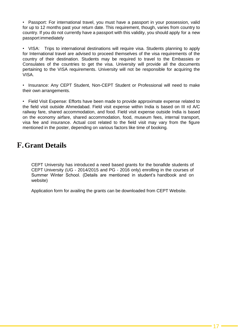• Passport: For international travel, you must have a passport in your possession, valid for up to 12 months past your return date. This requirement, though, varies from country to country. If you do not currently have a passport with this validity, you should apply for a new passport immediately

• VISA: Trips to international destinations will require visa. Students planning to apply for International travel are advised to proceed themselves of the visa requirements of the country of their destination. Students may be required to travel to the Embassies or Consulates of the countries to get the visa. University will provide all the documents pertaining to the VISA requirements. University will not be responsible for acquiring the VISA.

• Insurance: Any CEPT Student, Non-CEPT Student or Professional will need to make their own arrangements.

• Field Visit Expense: Efforts have been made to provide approximate expense related to the field visit outside Ahmedabad. Field visit expense within India is based on III rd A/C railway fare, shared accommodation, and food. Field visit expense outside India is based on the economy airfare, shared accommodation, food, museum fees, internal transport, visa fee and insurance. Actual cost related to the field visit may vary from the figure mentioned in the poster, depending on various factors like time of booking.

## <span id="page-16-0"></span>**F.Grant Details**

CEPT University has introduced a need based grants for the bonafide students of CEPT University (UG - 2014/2015 and PG - 2016 only) enrolling in the courses of Summer Winter School. (Details are mentioned in student's handbook and on website)

Application form for availing the grants can be downloaded from CEPT Website.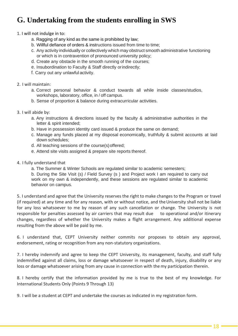# <span id="page-17-0"></span>**G. Undertaking from the students enrolling in SWS**

1. I will not indulge in to:

- a. Ragging of any kind as the same is prohibited by law;
- b. Willful defiance of orders & instructions issued from time to time;
- c. Any activity individually or collectively which may obstruct smooth administrative functioning or which is in contravention of pronounced university policy;
- d. Create any obstacle in the smooth running of the courses;
- e. Insubordination to Faculty & Staff directly orindirectly;
- f. Carry out any unlawful activity.
- 2. I will maintain:
	- a. Correct personal behavior & conduct towards all while inside classes/studios, workshops, laboratory, office, in / off campus.
	- b. Sense of proportion & balance during extracurricular activities.
- 3. I will abide by:
	- a. Any instructions & directions issued by the faculty & administrative authorities in the letter & spirit intended;
	- b. Have in possession identity card issued & produce the same on demand;
	- c. Manage any funds placed at my disposal economically, truthfully & submit accounts at laid down schedules;
	- d. All teaching sessions of the course(s)offered;
	- e. Attend site visits assigned & prepare site reports thereof.
- 4. I fully understand that
	- a. The Summer & Winter Schools are regulated similar to academic semesters;

b. During the Site Visit (s) / Field Survey (s ) and Project work I am required to carry out work on my own & independently, and these sessions are regulated similar to academic behavior on campus.

5. I understand and agree that the University reserves the right to make changes to the Program or travel (if required) at any time and for any reason, with or without notice, and theUniversity shall not be liable for any loss whatsoever to me by reason of any such cancellation or change. The University is not responsible for penalties assessed by air carriers that may result due to operational and/or itinerary changes, regardless of whether the University makes a flight arrangement. Any additional expense resulting from the above will be paid by me.

6. I understand that, CEPT University neither commits nor proposes to obtain any approval, endorsement, rating or recognition from any non-statutory organizations.

7. I hereby indemnify and agree to keep the CEPT University, its management, faculty, and staff fully indemnified against all claims, loss or damage whatsoever in respect of death, injury, disability or any loss or damage whatsoever arising from any cause in connection with themy participation therein.

8. I hereby certify that the information provided by me is true to the best of my knowledge. For International Students Only (Points 9 Through 13)

9. I will be a student at CEPT and undertake the courses as indicated in my registration form.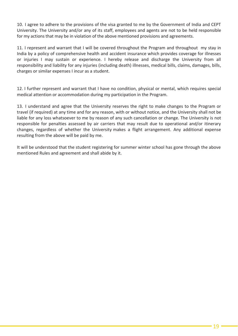10. I agree to adhere to the provisions of the visa granted to me by the Government of India and CEPT University. The University and/or any of its staff, employees and agents are not to be held responsible for my actions that may be in violation of the above mentioned provisions and agreements.

11. I represent and warrant that I will be covered throughout the Program and throughout my stay in India by a policy of comprehensive health and accident insurance which provides coverage for illnesses or injuries I may sustain or experience. I hereby release and discharge the University from all responsibility and liability for any injuries (including death) illnesses, medical bills, claims, damages, bills, charges or similar expenses I incur as a student.

12. I further represent and warrant that I have no condition, physical or mental, which requires special medical attention or accommodation during my participation in the Program.

13. I understand and agree that the University reserves the right to make changes to the Program or travel (if required) at any time and for any reason, with or without notice, and the University shall not be liable for any loss whatsoever to me by reason of any such cancellation or change. The University is not responsible for penalties assessed by air carriers that may result due to operational and/or itinerary changes, regardless of whether the University makes a flight arrangement. Any additional expense resulting from the above will be paid by me.

It will be understood that the student registering for summer winter school has gone through the above mentioned Rules and agreement and shall abide by it.